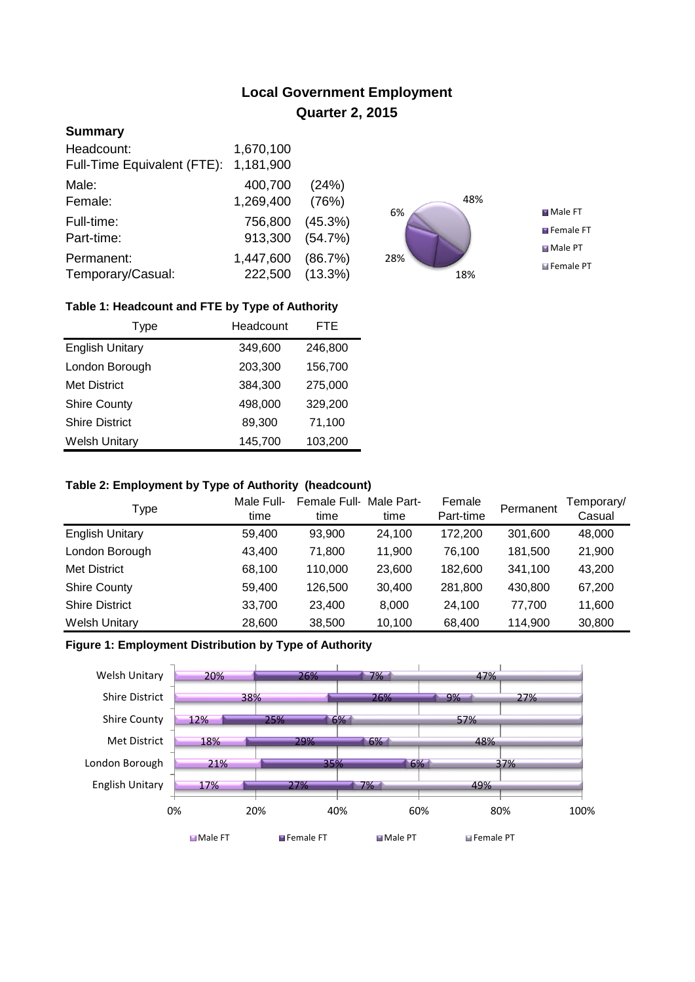# **Local Government Employment Quarter 2, 2015**

# **Summary**

| Headcount:<br>Full-Time Equivalent (FTE): | 1,670,100<br>1,181,900 |            |
|-------------------------------------------|------------------------|------------|
| Male:                                     | 400,700                | (24%)      |
| Female:                                   | 1,269,400              | (76%)      |
| Full-time:                                | 756,800                | (45.3%)    |
| Part-time:                                | 913,300                | (54.7%)    |
| Permanent:                                | 1,447,600              | (86.7%)    |
| Temporary/Casual:                         | 222,500                | $(13.3\%)$ |



## **Table 1: Headcount and FTE by Type of Authority**

| Type                   | Headcount | FTE     |
|------------------------|-----------|---------|
| <b>English Unitary</b> | 349,600   | 246,800 |
| London Borough         | 203,300   | 156,700 |
| <b>Met District</b>    | 384,300   | 275,000 |
| <b>Shire County</b>    | 498,000   | 329,200 |
| <b>Shire District</b>  | 89,300    | 71,100  |
| <b>Welsh Unitary</b>   | 145,700   | 103,200 |

#### **Table 2: Employment by Type of Authority (headcount)**

| Type                   | Male Full-<br>time | Female Full-Male Part-<br>time | time   | Female<br>Part-time | Permanent | Temporary/<br>Casual |
|------------------------|--------------------|--------------------------------|--------|---------------------|-----------|----------------------|
| <b>English Unitary</b> | 59,400             | 93.900                         | 24.100 | 172,200             | 301,600   | 48,000               |
| London Borough         | 43,400             | 71,800                         | 11.900 | 76,100              | 181,500   | 21,900               |
| <b>Met District</b>    | 68,100             | 110,000                        | 23,600 | 182,600             | 341,100   | 43,200               |
| <b>Shire County</b>    | 59,400             | 126,500                        | 30,400 | 281,800             | 430,800   | 67,200               |
| <b>Shire District</b>  | 33,700             | 23.400                         | 8.000  | 24.100              | 77.700    | 11,600               |
| <b>Welsh Unitary</b>   | 28,600             | 38,500                         | 10,100 | 68,400              | 114,900   | 30,800               |

## **Figure 1: Employment Distribution by Type of Authority**